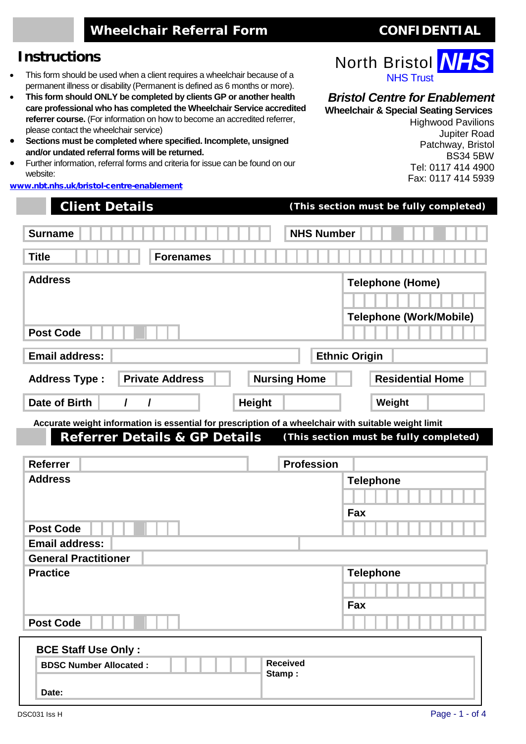# **Wheelchair Referral Form CONFIDENTIAL**

### **Instructions**

- This form should be used when a client requires a wheelchair because of a permanent illness or disability (Permanent is defined as 6 months or more).
- **This form should ONLY be completed by clients GP or another health care professional who has completed the Wheelchair Service accredited referrer course.** (For information on how to become an accredited referrer, please contact the wheelchair service)
- **Sections must be completed where specified. Incomplete, unsigned and/or undated referral forms will be returned.**
- Further information, referral forms and criteria for issue can be found on our website:

[www.nbt.nhs.uk/bristol-centre-enablement](http://www.nbt.nhs.uk/bristol-centre-enablement)

| <b>Client Details</b>                                                                                                                            | (This section must be fully completed)         |
|--------------------------------------------------------------------------------------------------------------------------------------------------|------------------------------------------------|
| <b>Surname</b>                                                                                                                                   | <b>NHS Number</b>                              |
| <b>Title</b><br><b>Forenames</b>                                                                                                                 |                                                |
| <b>Address</b>                                                                                                                                   | <b>Telephone (Home)</b>                        |
|                                                                                                                                                  |                                                |
| <b>Post Code</b>                                                                                                                                 | <b>Telephone (Work/Mobile)</b>                 |
| <b>Email address:</b>                                                                                                                            | <b>Ethnic Origin</b>                           |
| <b>Private Address</b><br><b>Address Type:</b>                                                                                                   | <b>Nursing Home</b><br><b>Residential Home</b> |
| Date of Birth<br>I<br><b>Height</b><br>$\prime$                                                                                                  | Weight                                         |
| Accurate weight information is essential for prescription of a wheelchair with suitable weight limit<br><b>Referrer Details &amp; GP Details</b> | (This section must be fully completed)         |
| <b>Referrer</b>                                                                                                                                  | <b>Profession</b>                              |
| <b>Address</b>                                                                                                                                   | <b>Telephone</b>                               |
|                                                                                                                                                  | Fax                                            |
| <b>Post Code</b>                                                                                                                                 |                                                |
| <b>Email address:</b>                                                                                                                            |                                                |
| <b>General Practitioner</b>                                                                                                                      |                                                |
| <b>Practice</b>                                                                                                                                  | <b>Telephone</b>                               |
|                                                                                                                                                  |                                                |
|                                                                                                                                                  | Fax                                            |
| <b>Post Code</b>                                                                                                                                 |                                                |
| <b>BCE Staff Use Only:</b>                                                                                                                       |                                                |
| <b>BDSC Number Allocated:</b>                                                                                                                    | <b>Received</b><br>Stamp:                      |
| Date:                                                                                                                                            |                                                |



#### *Bristol Centre for Enablement*

**Wheelchair & Special Seating Services** Highwood Pavilions Jupiter Road Patchway, Bristol BS34 5BW Tel: 0117 414 4900 Fax: 0117 414 5939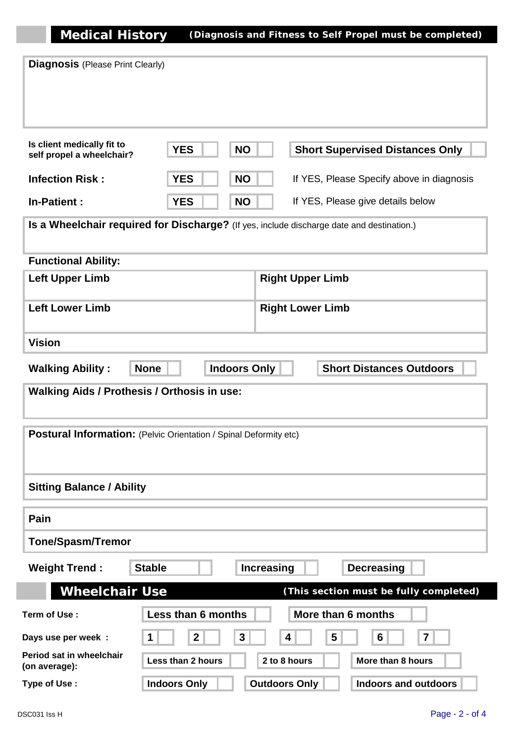**Medical History (Diagnosis and Fitness to Self Propel must be completed)**

| <b>Diagnosis</b> (Please Print Clearly)                                                          |                     |                   |                      |                                           |  |
|--------------------------------------------------------------------------------------------------|---------------------|-------------------|----------------------|-------------------------------------------|--|
| Is client medically fit to<br>self propel a wheelchair?                                          | <b>YES</b>          | <b>NO</b>         |                      | <b>Short Supervised Distances Only</b>    |  |
| <b>Infection Risk:</b>                                                                           | <b>YES</b>          | <b>NO</b>         |                      | If YES, Please Specify above in diagnosis |  |
| <b>In-Patient:</b>                                                                               | <b>YES</b>          | <b>NO</b>         |                      | If YES, Please give details below         |  |
| Is a Wheelchair required for Discharge? (If yes, include discharge date and destination.)        |                     |                   |                      |                                           |  |
| <b>Functional Ability:</b>                                                                       |                     |                   |                      |                                           |  |
| <b>Right Upper Limb</b><br><b>Left Upper Limb</b>                                                |                     |                   |                      |                                           |  |
| <b>Left Lower Limb</b><br><b>Right Lower Limb</b>                                                |                     |                   |                      |                                           |  |
| <b>Vision</b>                                                                                    |                     |                   |                      |                                           |  |
| <b>Indoors Only</b><br><b>Short Distances Outdoors</b><br><b>Walking Ability:</b><br><b>None</b> |                     |                   |                      |                                           |  |
| <b>Walking Aids / Prothesis / Orthosis in use:</b>                                               |                     |                   |                      |                                           |  |
| Postural Information: (Pelvic Orientation / Spinal Deformity etc)                                |                     |                   |                      |                                           |  |
| <b>Sitting Balance / Ability</b>                                                                 |                     |                   |                      |                                           |  |
| Pain                                                                                             |                     |                   |                      |                                           |  |
| <b>Tone/Spasm/Tremor</b>                                                                         |                     |                   |                      |                                           |  |
| <b>Weight Trend:</b>                                                                             | <b>Stable</b>       | <b>Increasing</b> |                      | <b>Decreasing</b>                         |  |
| <b>Wheelchair Use</b>                                                                            |                     |                   |                      | (This section must be fully completed)    |  |
| Term of Use:                                                                                     | Less than 6 months  |                   | More than 6 months   |                                           |  |
| Days use per week :                                                                              | $\mathbf{2}$<br>1   | $\mathbf{3}$      | 5<br>4               | 6<br>7                                    |  |
| Period sat in wheelchair<br>(on average):                                                        | Less than 2 hours   |                   | 2 to 8 hours         | More than 8 hours                         |  |
| Type of Use:                                                                                     | <b>Indoors Only</b> |                   | <b>Outdoors Only</b> | <b>Indoors and outdoors</b>               |  |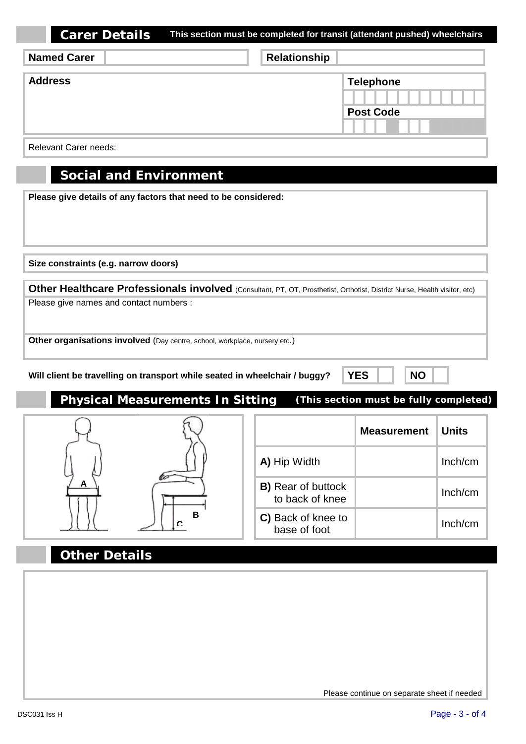| Carer Details | This section must be completed for transit (attendant pushed) wheelchairs |
|---------------|---------------------------------------------------------------------------|
|---------------|---------------------------------------------------------------------------|

| <b>Named Carer</b> | Relationship |                                      |
|--------------------|--------------|--------------------------------------|
| <b>Address</b>     |              | <b>Telephone</b><br><b>Post Code</b> |

Relevant Carer needs:

### **Social and Environment**

**Please give details of any factors that need to be considered:**

**Size constraints (e.g. narrow doors)**

**Other Healthcare Professionals involved** (Consultant, PT, OT, Prosthetist, Orthotist, District Nurse, Health visitor, etc) Please give names and contact numbers :

**Other organisations involved** (Day centre, school, workplace, nursery etc.)

**Will client be travelling on transport while seated in wheelchair / buggy? XES NO** 

**Physical Measurements In Sitting (This section must be fully completed)**



## **Other Details**

Please continue on separate sheet if needed